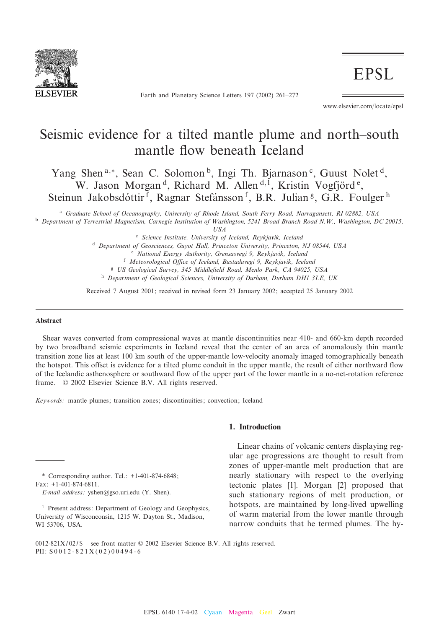

Earth and Planetary Science Letters 197 (2002) 261-272

**EPSL** 

www.elsevier.com/locate/epsl

# Seismic evidence for a tilted mantle plume and north-south mantle flow beneath Iceland

Yang Shen<sup>a,\*</sup>, Sean C. Solomon<sup>b</sup>, Ingi Th. Bjarnason<sup>c</sup>, Guust Nolet<sup>d</sup>, W. Jason Morgan<sup>d</sup>, Richard M. Allen<sup>d, 1</sup>, Kristin Vogfjörd<sup>e</sup>, Steinun Jakobsdóttir<sup>f</sup>, Ragnar Stefánsson<sup>f</sup>, B.R. Julian<sup>g</sup>, G.R. Foulger<sup>h</sup>

<sup>a</sup> Graduate School of Oceanography, University of Rhode Island, South Ferry Road, Narragansett, RI 02882, USA <sup>b</sup> Department of Terrestrial Magnetism, Carnegie Institution of Washington, 5241 Broad Branch Road N.W., Washington, DC 20015,

USA

<sup>c</sup> Science Institute, University of Iceland, Reykjavik, Iceland

<sup>d</sup> Department of Geosciences, Guyot Hall, Princeton University, Princeton, NJ 08544, USA

<sup>e</sup> National Energy Authority, Grensasvegi 9, Reykjavik, Iceland

f Meteorological Office of Iceland, Bustadavegi 9, Reykjavik, Iceland

<sup>g</sup> US Geological Survey, 345 Middle¢eld Road, Menlo Park, CA 94025, USA

<sup>h</sup> Department of Geological Sciences, University of Durham, Durham DH1 3LE, UK

Received 7 August 2001; received in revised form 23 January 2002; accepted 25 January 2002

#### Abstract

Shear waves converted from compressional waves at mantle discontinuities near 410- and 660-km depth recorded by two broadband seismic experiments in Iceland reveal that the center of an area of anomalously thin mantle transition zone lies at least 100 km south of the upper-mantle low-velocity anomaly imaged tomographically beneath the hotspot. This offset is evidence for a tilted plume conduit in the upper mantle, the result of either northward flow of the Icelandic asthenosphere or southward flow of the upper part of the lower mantle in a no-net-rotation reference frame.  $\oslash$  2002 Elsevier Science B.V. All rights reserved.

Keywords: mantle plumes; transition zones; discontinuities; convection; Iceland

### 1. Introduction

ular age progressions are thought to result from zones of upper-mantle melt production that are nearly stationary with respect to the overlying tectonic plates [1]. Morgan [2] proposed that such stationary regions of melt production, or hotspots, are maintained by long-lived upwelling of warm material from the lower mantle through narrow conduits that he termed plumes. The hy-

Linear chains of volcanic centers displaying reg-

\* Corresponding author. Tel.: +1-401-874-6848; Fax: +1-401-874-6811.

E-mail address: yshen@gso.uri.edu (Y. Shen).

<sup>&</sup>lt;sup>1</sup> Present address: Department of Geology and Geophysics, University of Wisconconsin, 1215 W. Dayton St., Madison, WI 53706, USA.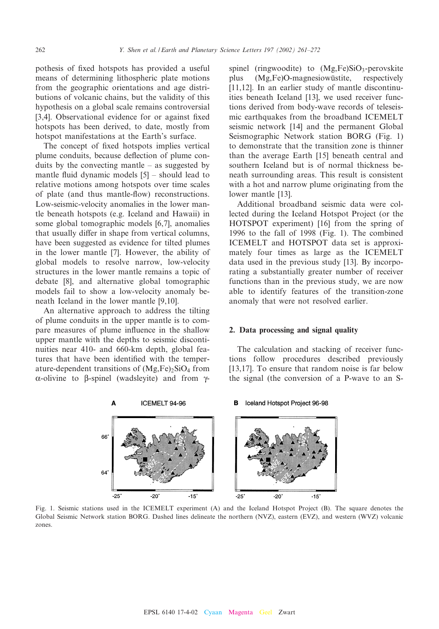pothesis of fixed hotspots has provided a useful means of determining lithospheric plate motions from the geographic orientations and age distributions of volcanic chains, but the validity of this hypothesis on a global scale remains controversial [3,4]. Observational evidence for or against fixed hotspots has been derived, to date, mostly from hotspot manifestations at the Earth's surface.

The concept of fixed hotspots implies vertical plume conduits, because deflection of plume conduits by the convecting mantle  $-$  as suggested by mantle fluid dynamic models  $[5]$  – should lead to relative motions among hotspots over time scales of plate (and thus mantle-£ow) reconstructions. Low-seismic-velocity anomalies in the lower mantle beneath hotspots (e.g. Iceland and Hawaii) in some global tomographic models [6,7], anomalies that usually differ in shape from vertical columns, have been suggested as evidence for tilted plumes in the lower mantle [7]. However, the ability of global models to resolve narrow, low-velocity structures in the lower mantle remains a topic of debate [8], and alternative global tomographic models fail to show a low-velocity anomaly beneath Iceland in the lower mantle [9,10].

An alternative approach to address the tilting of plume conduits in the upper mantle is to compare measures of plume influence in the shallow upper mantle with the depths to seismic discontinuities near 410- and 660-km depth, global features that have been identified with the temperature-dependent transitions of  $(Mg,Fe)_2SiO_4$  from  $\alpha$ -olivine to  $\beta$ -spinel (wadsleyite) and from  $\gamma$ -

Δ

spinel (ringwoodite) to  $(Mg,Fe)SiO<sub>3</sub>$ -perovskite plus (Mg,Fe)O-magnesiowustite, respectively [11,12]. In an earlier study of mantle discontinuities beneath Iceland [13], we used receiver functions derived from body-wave records of teleseismic earthquakes from the broadband ICEMELT seismic network [14] and the permanent Global Seismographic Network station BORG (Fig. 1) to demonstrate that the transition zone is thinner than the average Earth [15] beneath central and southern Iceland but is of normal thickness beneath surrounding areas. This result is consistent with a hot and narrow plume originating from the lower mantle [13].

Additional broadband seismic data were collected during the Iceland Hotspot Project (or the HOTSPOT experiment) [16] from the spring of 1996 to the fall of 1998 (Fig. 1). The combined ICEMELT and HOTSPOT data set is approximately four times as large as the ICEMELT data used in the previous study [13]. By incorporating a substantially greater number of receiver functions than in the previous study, we are now able to identify features of the transition-zone anomaly that were not resolved earlier.

#### 2. Data processing and signal quality

The calculation and stacking of receiver functions follow procedures described previously [13,17]. To ensure that random noise is far below the signal (the conversion of a P-wave to an S-



ICEMELT 94-96

#### B Iceland Hotspot Project 96-98

Fig. 1. Seismic stations used in the ICEMELT experiment (A) and the Iceland Hotspot Project (B). The square denotes the Global Seismic Network station BORG. Dashed lines delineate the northern (NVZ), eastern (EVZ), and western (WVZ) volcanic zones.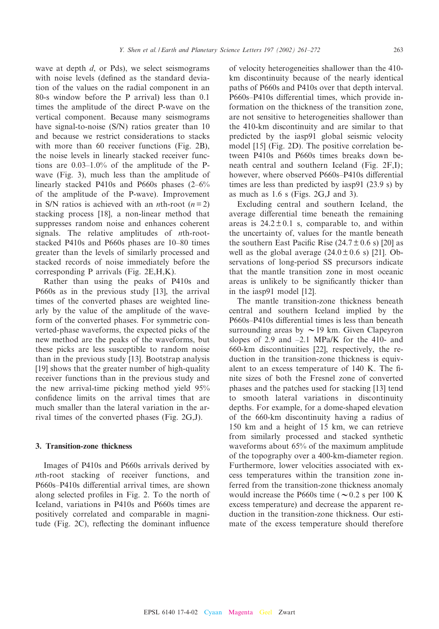wave at depth  $d$ , or Pds), we select seismograms with noise levels (defined as the standard deviation of the values on the radial component in an 80-s window before the P arrival) less than 0.1 times the amplitude of the direct P-wave on the vertical component. Because many seismograms have signal-to-noise (S/N) ratios greater than 10 and because we restrict considerations to stacks with more than 60 receiver functions (Fig. 2B). the noise levels in linearly stacked receiver functions are  $0.03-1.0\%$  of the amplitude of the Pwave (Fig. 3), much less than the amplitude of linearly stacked P410s and P660s phases  $(2-6\%$ of the amplitude of the P-wave). Improvement in S/N ratios is achieved with an *n*th-root  $(n=2)$ stacking process [18], a non-linear method that suppresses random noise and enhances coherent signals. The relative amplitudes of *n*th-rootstacked P410s and P660s phases are 10-80 times greater than the levels of similarly processed and stacked records of noise immediately before the corresponding P arrivals (Fig. 2E,H,K).

Rather than using the peaks of P410s and P660s as in the previous study [13], the arrival times of the converted phases are weighted linearly by the value of the amplitude of the waveform of the converted phases. For symmetric converted-phase waveforms, the expected picks of the new method are the peaks of the waveforms, but these picks are less susceptible to random noise than in the previous study [13]. Bootstrap analysis [19] shows that the greater number of high-quality receiver functions than in the previous study and the new arrival-time picking method yield 95% confidence limits on the arrival times that are much smaller than the lateral variation in the arrival times of the converted phases (Fig. 2G,J).

#### 3. Transition-zone thickness

Images of P410s and P660s arrivals derived by nth-root stacking of receiver functions, and P660s–P410s differential arrival times, are shown along selected profiles in Fig. 2. To the north of Iceland, variations in P410s and P660s times are positively correlated and comparable in magnitude (Fig.  $2C$ ), reflecting the dominant influence of velocity heterogeneities shallower than the 410 km discontinuity because of the nearly identical paths of P660s and P410s over that depth interval. P660s-P410s differential times, which provide information on the thickness of the transition zone, are not sensitive to heterogeneities shallower than the 410-km discontinuity and are similar to that predicted by the iasp91 global seismic velocity model [15] (Fig. 2D). The positive correlation between P410s and P660s times breaks down beneath central and southern Iceland (Fig. 2F,I); however, where observed P660s–P410s differential times are less than predicted by iasp91 (23.9 s) by as much as 1.6 s (Figs. 2G,J and 3).

Excluding central and southern Iceland, the average differential time beneath the remaining areas is  $24.2 \pm 0.1$  s, comparable to, and within the uncertainty of, values for the mantle beneath the southern East Pacific Rise  $(24.7 \pm 0.6 \text{ s})$  [20] as well as the global average  $(24.0 \pm 0.6 \text{ s})$  [21]. Observations of long-period SS precursors indicate that the mantle transition zone in most oceanic areas is unlikely to be significantly thicker than in the iasp91 model [12].

The mantle transition-zone thickness beneath central and southern Iceland implied by the P660s–P410s differential times is less than beneath surrounding areas by  $\sim$  19 km. Given Clapeyron slopes of 2.9 and  $-2.1$  MPa/K for the 410- and 660-km discontinuities [22], respectively, the reduction in the transition-zone thickness is equivalent to an excess temperature of  $140$  K. The finite sizes of both the Fresnel zone of converted phases and the patches used for stacking [13] tend to smooth lateral variations in discontinuity depths. For example, for a dome-shaped elevation of the 660-km discontinuity having a radius of 150 km and a height of 15 km, we can retrieve from similarly processed and stacked synthetic waveforms about 65% of the maximum amplitude of the topography over a 400-km-diameter region. Furthermore, lower velocities associated with excess temperatures within the transition zone inferred from the transition-zone thickness anomaly would increase the P660s time ( $\sim$  0.2 s per 100 K excess temperature) and decrease the apparent reduction in the transition-zone thickness. Our estimate of the excess temperature should therefore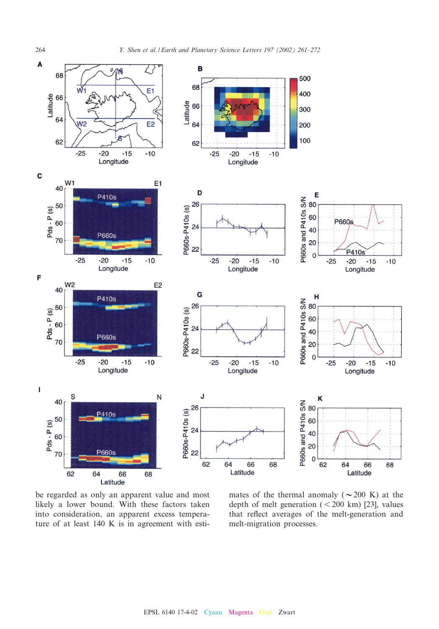

be regarded as only an apparent value and most likely a lower bound. With these factors taken into consideration, an apparent excess temperature of at least 140 K is in agreement with esti-

mates of the thermal anomaly ( $\sim$ 200 K) at the depth of melt generation  $(< 200 \text{ km})$  [23], values that reflect averages of the melt-generation and melt-migration processes.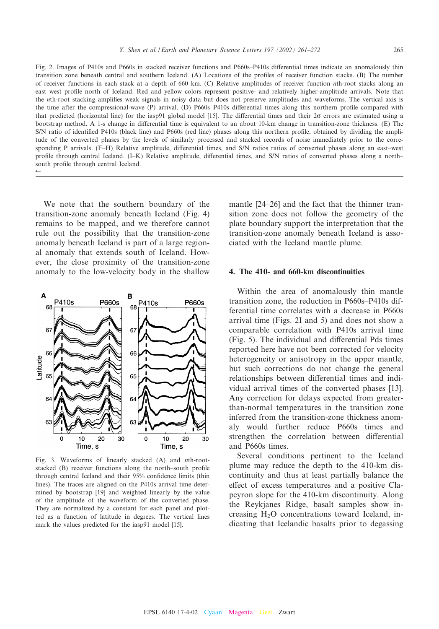Fig. 2. Images of P410s and P660s in stacked receiver functions and P660s-P410s differential times indicate an anomalously thin transition zone beneath central and southern Iceland. (A) Locations of the profiles of receiver function stacks. (B) The number of receiver functions in each stack at a depth of 660 km. (C) Relative amplitudes of receiver function nth-root stacks along an east-west profile north of Iceland. Red and yellow colors represent positive- and relatively higher-amplitude arrivals. Note that the nth-root stacking amplifies weak signals in noisy data but does not preserve amplitudes and waveforms. The vertical axis is the time after the compressional-wave (P) arrival. (D) P660s-P410s differential times along this northern profile compared with that predicted (horizontal line) for the iasp91 global model [15]. The differential times and their  $2\sigma$  errors are estimated using a bootstrap method. A 1-s change in differential time is equivalent to an about 10-km change in transition-zone thickness. (E) The S/N ratio of identified P410s (black line) and P660s (red line) phases along this northern profile, obtained by dividing the amplitude of the converted phases by the levels of similarly processed and stacked records of noise immediately prior to the corresponding P arrivals. (F-H) Relative amplitude, differential times, and S/N ratios ratios of converted phases along an east-west profile through central Iceland. (I–K) Relative amplitude, differential times, and S/N ratios of converted phases along a northsouth profile through central Iceland.  $\leftarrow$ 

We note that the southern boundary of the transition-zone anomaly beneath Iceland (Fig. 4) remains to be mapped, and we therefore cannot rule out the possibility that the transition-zone anomaly beneath Iceland is part of a large regional anomaly that extends south of Iceland. However, the close proximity of the transition-zone anomaly to the low-velocity body in the shallow



Fig. 3. Waveforms of linearly stacked (A) and nth-rootstacked (B) receiver functions along the north-south profile through central Iceland and their 95% confidence limits (thin lines). The traces are aligned on the P410s arrival time determined by bootstrap [19] and weighted linearly by the value of the amplitude of the waveform of the converted phase. They are normalized by a constant for each panel and plotted as a function of latitude in degrees. The vertical lines mark the values predicted for the iasp91 model [15].

mantle [24–26] and the fact that the thinner transition zone does not follow the geometry of the plate boundary support the interpretation that the transition-zone anomaly beneath Iceland is associated with the Iceland mantle plume.

#### 4. The 410- and 660-km discontinuities

Within the area of anomalously thin mantle transition zone, the reduction in P660s^P410s differential time correlates with a decrease in P660s arrival time (Figs. 2I and 5) and does not show a comparable correlation with P410s arrival time (Fig. 5). The individual and differential Pds times reported here have not been corrected for velocity heterogeneity or anisotropy in the upper mantle, but such corrections do not change the general relationships between differential times and individual arrival times of the converted phases [13]. Any correction for delays expected from greaterthan-normal temperatures in the transition zone inferred from the transition-zone thickness anomaly would further reduce P660s times and strengthen the correlation between differential and P660s times.

Several conditions pertinent to the Iceland plume may reduce the depth to the 410-km discontinuity and thus at least partially balance the effect of excess temperatures and a positive Clapeyron slope for the 410-km discontinuity. Along the Reykjanes Ridge, basalt samples show increasing H2O concentrations toward Iceland, indicating that Icelandic basalts prior to degassing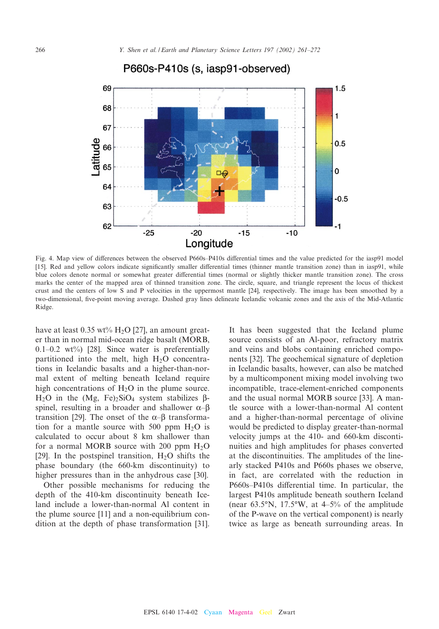

## P660s-P410s (s, iasp91-observed)

Fig. 4. Map view of differences between the observed P660s-P410s differential times and the value predicted for the iasp91 model [15]. Red and yellow colors indicate significantly smaller differential times (thinner mantle transition zone) than in iasp91, while blue colors denote normal or somewhat greater differential times (normal or slightly thicker mantle transition zone). The cross marks the center of the mapped area of thinned transition zone. The circle, square, and triangle represent the locus of thickest crust and the centers of low S and P velocities in the uppermost mantle [24], respectively. The image has been smoothed by a two-dimensional, five-point moving average. Dashed gray lines delineate Icelandic volcanic zones and the axis of the Mid-Atlantic Ridge.

have at least  $0.35 \text{ wt}$ % H<sub>2</sub>O [27], an amount greater than in normal mid-ocean ridge basalt (MORB,  $0.1-0.2$  wt%) [28]. Since water is preferentially partitioned into the melt, high  $H_2O$  concentrations in Icelandic basalts and a higher-than-normal extent of melting beneath Iceland require high concentrations of  $H_2O$  in the plume source. H<sub>2</sub>O in the (Mg, Fe)<sub>2</sub>SiO<sub>4</sub> system stabilizes  $\beta$ spinel, resulting in a broader and shallower  $\alpha-\beta$ transition [29]. The onset of the  $\alpha$ - $\beta$  transformation for a mantle source with 500 ppm  $H_2O$  is calculated to occur about 8 km shallower than for a normal MORB source with 200 ppm  $H_2O$ [29]. In the postspinel transition,  $H_2O$  shifts the phase boundary (the 660-km discontinuity) to higher pressures than in the anhydrous case [30].

Other possible mechanisms for reducing the depth of the 410-km discontinuity beneath Iceland include a lower-than-normal Al content in the plume source [11] and a non-equilibrium condition at the depth of phase transformation [31]. It has been suggested that the Iceland plume source consists of an Al-poor, refractory matrix and veins and blobs containing enriched components [32]. The geochemical signature of depletion in Icelandic basalts, however, can also be matched by a multicomponent mixing model involving two incompatible, trace-element-enriched components and the usual normal MORB source [33]. A mantle source with a lower-than-normal Al content and a higher-than-normal percentage of olivine would be predicted to display greater-than-normal velocity jumps at the 410- and 660-km discontinuities and high amplitudes for phases converted at the discontinuities. The amplitudes of the linearly stacked P410s and P660s phases we observe, in fact, are correlated with the reduction in P660s–P410s differential time. In particular, the largest P410s amplitude beneath southern Iceland (near  $63.5^{\circ}$ N, 17.5°W, at 4-5% of the amplitude of the P-wave on the vertical component) is nearly twice as large as beneath surrounding areas. In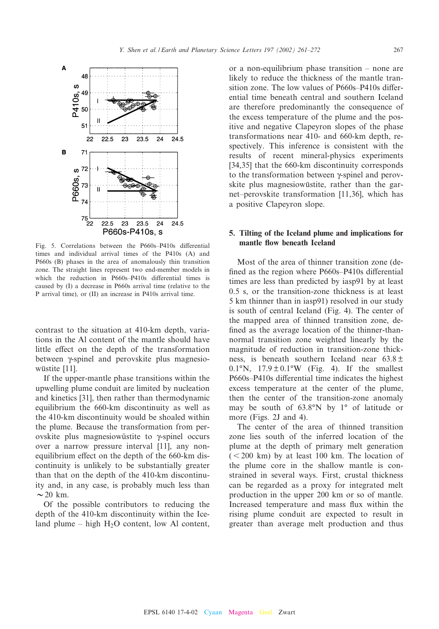

Fig. 5. Correlations between the P660s-P410s differential times and individual arrival times of the P410s (A) and P660s (B) phases in the area of anomalously thin transition zone. The straight lines represent two end-member models in which the reduction in  $P660s-P410s$  differential times is caused by (I) a decrease in P660s arrival time (relative to the P arrival time), or (II) an increase in P410s arrival time.

contrast to the situation at 410-km depth, variations in the Al content of the mantle should have little effect on the depth of the transformation between  $\gamma$ -spinel and perovskite plus magnesiowüstite [11].

If the upper-mantle phase transitions within the upwelling plume conduit are limited by nucleation and kinetics [31], then rather than thermodynamic equilibrium the 660-km discontinuity as well as the 410-km discontinuity would be shoaled within the plume. Because the transformation from perovskite plus magnesiowustite to  $\gamma$ -spinel occurs over a narrow pressure interval [11], any nonequilibrium effect on the depth of the 660-km discontinuity is unlikely to be substantially greater than that on the depth of the 410-km discontinuity and, in any case, is probably much less than  $\sim$  20 km.

Of the possible contributors to reducing the depth of the 410-km discontinuity within the Iceland plume  $-$  high H<sub>2</sub>O content, low Al content,

or a non-equilibrium phase transition  $-$  none are likely to reduce the thickness of the mantle transition zone. The low values of  $P660s-P410s$  differential time beneath central and southern Iceland are therefore predominantly the consequence of the excess temperature of the plume and the positive and negative Clapeyron slopes of the phase transformations near 410- and 660-km depth, respectively. This inference is consistent with the results of recent mineral-physics experiments [34,35] that the 660-km discontinuity corresponds to the transformation between  $\gamma$ -spinel and perovskite plus magnesiowüstite, rather than the garnet–perovskite transformation  $[11,36]$ , which has a positive Clapeyron slope.

### 5. Tilting of the Iceland plume and implications for mantle flow beneath Iceland

Most of the area of thinner transition zone (de fined as the region where  $P660s-P410s$  differential times are less than predicted by iasp91 by at least 0.5 s, or the transition-zone thickness is at least 5 km thinner than in iasp91) resolved in our study is south of central Iceland (Fig. 4). The center of the mapped area of thinned transition zone, de fined as the average location of the thinner-thannormal transition zone weighted linearly by the magnitude of reduction in transition-zone thickness, is beneath southern Iceland near  $63.8 \pm$ 0.1°N,  $17.9 \pm 0.1$ °W (Fig. 4). If the smallest P660s–P410s differential time indicates the highest excess temperature at the center of the plume, then the center of the transition-zone anomaly may be south of  $63.8^\circ N$  by 1 $^\circ$  of latitude or more (Figs. 2J and 4).

The center of the area of thinned transition zone lies south of the inferred location of the plume at the depth of primary melt generation  $(< 200$  km) by at least 100 km. The location of the plume core in the shallow mantle is constrained in several ways. First, crustal thickness can be regarded as a proxy for integrated melt production in the upper 200 km or so of mantle. Increased temperature and mass flux within the rising plume conduit are expected to result in greater than average melt production and thus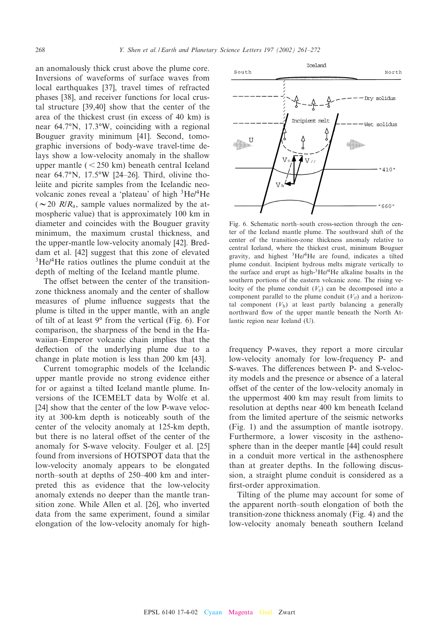an anomalously thick crust above the plume core. Inversions of waveforms of surface waves from local earthquakes [37], travel times of refracted phases [38], and receiver functions for local crustal structure [39,40] show that the center of the area of the thickest crust (in excess of 40 km) is near  $64.7\textdegree N$ , 17.3 $\textdegree W$ , coinciding with a regional Bouguer gravity minimum [41]. Second, tomographic inversions of body-wave travel-time delays show a low-velocity anomaly in the shallow upper mantle  $(< 250 \text{ km})$  beneath central Iceland near 64.7°N, 17.5°W [24-26]. Third, olivine tholeiite and picrite samples from the Icelandic neovolcanic zones reveal a 'plateau' of high 3He/4He ( $\sim$  20 *R/R<sub>a</sub>*, sample values normalized by the atmospheric value) that is approximately 100 km in diameter and coincides with the Bouguer gravity minimum, the maximum crustal thickness, and the upper-mantle low-velocity anomaly [42]. Breddam et al. [42] suggest that this zone of elevated <sup>3</sup>He/<sup>4</sup>He ratios outlines the plume conduit at the depth of melting of the Iceland mantle plume.

The offset between the center of the transitionzone thickness anomaly and the center of shallow measures of plume influence suggests that the plume is tilted in the upper mantle, with an angle of tilt of at least  $9^{\circ}$  from the vertical (Fig. 6). For comparison, the sharpness of the bend in the Hawaiian–Emperor volcanic chain implies that the deflection of the underlying plume due to a change in plate motion is less than 200 km [43].

Current tomographic models of the Icelandic upper mantle provide no strong evidence either for or against a tilted Iceland mantle plume. Inversions of the ICEMELT data by Wolfe et al. [24] show that the center of the low P-wave velocity at 300-km depth is noticeably south of the center of the velocity anomaly at 125-km depth, but there is no lateral offset of the center of the anomaly for S-wave velocity. Foulger et al. [25] found from inversions of HOTSPOT data that the low-velocity anomaly appears to be elongated north-south at depths of 250–400 km and interpreted this as evidence that the low-velocity anomaly extends no deeper than the mantle transition zone. While Allen et al. [26], who inverted data from the same experiment, found a similar elongation of the low-velocity anomaly for high-

Fig. 6. Schematic north-south cross-section through the center of the Iceland mantle plume. The southward shift of the center of the transition-zone thickness anomaly relative to central Iceland, where the thickest crust, minimum Bouguer gravity, and highest  ${}^{3}$ He/ ${}^{4}$ He are found, indicates a tilted plume conduit. Incipient hydrous melts migrate vertically to the surface and erupt as high-3He/4He alkaline basalts in the southern portions of the eastern volcanic zone. The rising velocity of the plume conduit  $(V_c)$  can be decomposed into a component parallel to the plume conduit  $(V_{jj})$  and a horizontal component  $(V<sub>h</sub>)$  at least partly balancing a generally northward flow of the upper mantle beneath the North Atlantic region near Iceland (U).

frequency P-waves, they report a more circular low-velocity anomaly for low-frequency P- and S-waves. The differences between P- and S-velocity models and the presence or absence of a lateral offset of the center of the low-velocity anomaly in the uppermost 400 km may result from limits to resolution at depths near 400 km beneath Iceland from the limited aperture of the seismic networks (Fig. 1) and the assumption of mantle isotropy. Furthermore, a lower viscosity in the asthenosphere than in the deeper mantle [44] could result in a conduit more vertical in the asthenosphere than at greater depths. In the following discussion, a straight plume conduit is considered as a first-order approximation.

Tilting of the plume may account for some of the apparent north^south elongation of both the transition-zone thickness anomaly (Fig. 4) and the low-velocity anomaly beneath southern Iceland

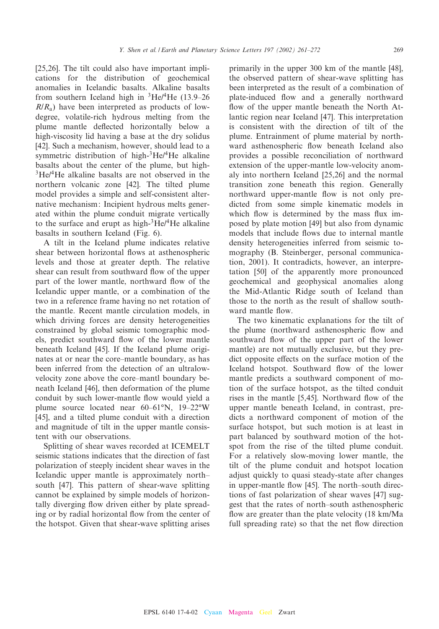[25,26]. The tilt could also have important implications for the distribution of geochemical anomalies in Icelandic basalts. Alkaline basalts from southern Iceland high in  ${}^{3}$ He/<sup>4</sup>He (13.9–26)  $R/R<sub>a</sub>$ ) have been interpreted as products of lowdegree, volatile-rich hydrous melting from the plume mantle de£ected horizontally below a high-viscosity lid having a base at the dry solidus [42]. Such a mechanism, however, should lead to a symmetric distribution of high- $^3$ He/ $^4$ He alkaline basalts about the center of the plume, but high- $3He/4He$  alkaline basalts are not observed in the northern volcanic zone [42]. The tilted plume model provides a simple and self-consistent alternative mechanism: Incipient hydrous melts generated within the plume conduit migrate vertically to the surface and erupt as high- $3He/4He$  alkaline basalts in southern Iceland (Fig. 6).

A tilt in the Iceland plume indicates relative shear between horizontal flows at asthenospheric levels and those at greater depth. The relative shear can result from southward flow of the upper part of the lower mantle, northward flow of the Icelandic upper mantle, or a combination of the two in a reference frame having no net rotation of the mantle. Recent mantle circulation models, in which driving forces are density heterogeneities constrained by global seismic tomographic models, predict southward flow of the lower mantle beneath Iceland [45]. If the Iceland plume originates at or near the core–mantle boundary, as has been inferred from the detection of an ultralowvelocity zone above the core^mantl boundary beneath Iceland [46], then deformation of the plume conduit by such lower-mantle flow would yield a plume source located near  $60-61°N$ ,  $19-22°W$ [45], and a tilted plume conduit with a direction and magnitude of tilt in the upper mantle consistent with our observations.

Splitting of shear waves recorded at ICEMELT seismic stations indicates that the direction of fast polarization of steeply incident shear waves in the Icelandic upper mantle is approximately north^ south [47]. This pattern of shear-wave splitting cannot be explained by simple models of horizontally diverging flow driven either by plate spreading or by radial horizontal flow from the center of the hotspot. Given that shear-wave splitting arises

primarily in the upper 300 km of the mantle [48], the observed pattern of shear-wave splitting has been interpreted as the result of a combination of plate-induced flow and a generally northward flow of the upper mantle beneath the North Atlantic region near Iceland [47]. This interpretation is consistent with the direction of tilt of the plume. Entrainment of plume material by northward asthenospheric flow beneath Iceland also provides a possible reconciliation of northward extension of the upper-mantle low-velocity anomaly into northern Iceland [25,26] and the normal transition zone beneath this region. Generally northward upper-mantle flow is not only predicted from some simple kinematic models in which flow is determined by the mass flux imposed by plate motion [49] but also from dynamic models that include flows due to internal mantle density heterogeneities inferred from seismic tomography (B. Steinberger, personal communication, 2001). It contradicts, however, an interpretation [50] of the apparently more pronounced geochemical and geophysical anomalies along the Mid-Atlantic Ridge south of Iceland than those to the north as the result of shallow southward mantle flow.

The two kinematic explanations for the tilt of the plume (northward asthenospheric flow and southward flow of the upper part of the lower mantle) are not mutually exclusive, but they predict opposite effects on the surface motion of the Iceland hotspot. Southward flow of the lower mantle predicts a southward component of motion of the surface hotspot, as the tilted conduit rises in the mantle  $[5,45]$ . Northward flow of the upper mantle beneath Iceland, in contrast, predicts a northward component of motion of the surface hotspot, but such motion is at least in part balanced by southward motion of the hotspot from the rise of the tilted plume conduit. For a relatively slow-moving lower mantle, the tilt of the plume conduit and hotspot location adjust quickly to quasi steady-state after changes in upper-mantle flow  $[45]$ . The north-south directions of fast polarization of shear waves [47] suggest that the rates of north^south asthenospheric flow are greater than the plate velocity  $(18 \text{ km/Ma})$ full spreading rate) so that the net flow direction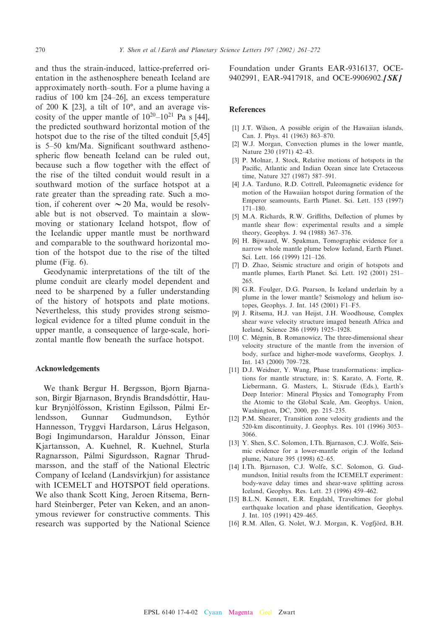and thus the strain-induced, lattice-preferred orientation in the asthenosphere beneath Iceland are approximately north^south. For a plume having a radius of 100 km [24^26], an excess temperature of 200 K  $[23]$ , a tilt of  $10^{\circ}$ , and an average viscosity of the upper mantle of  $10^{20}$ – $10^{21}$  Pa s [44], the predicted southward horizontal motion of the hotspot due to the rise of the tilted conduit [5,45] is  $5-50$  km/Ma. Significant southward asthenospheric flow beneath Iceland can be ruled out, because such a flow together with the effect of the rise of the tilted conduit would result in a southward motion of the surface hotspot at a rate greater than the spreading rate. Such a motion, if coherent over  $\sim$  20 Ma, would be resolvable but is not observed. To maintain a slowmoving or stationary Iceland hotspot, flow of the Icelandic upper mantle must be northward and comparable to the southward horizontal motion of the hotspot due to the rise of the tilted plume (Fig. 6).

Geodynamic interpretations of the tilt of the plume conduit are clearly model dependent and need to be sharpened by a fuller understanding of the history of hotspots and plate motions. Nevertheless, this study provides strong seismological evidence for a tilted plume conduit in the upper mantle, a consequence of large-scale, horizontal mantle flow beneath the surface hotspot.

#### Acknowledgements

We thank Bergur H. Bergsson, Bjorn Bjarnason, Birgir Bjarnason, Bryndis Brandsdóttir, Haukur Brynjólfósson, Kristinn Egilsson, Pálmi Erlendsson, Gunnar Gudmundson, Eythór Hannesson, Tryggvi Hardarson, Lárus Helgason, Bogi Ingimundarson, Haraldur Jónsson, Einar Kjartansson, A. Kuehnel, R. Kuehnel, Sturla Ragnarsson, Pálmi Sigurdsson, Ragnar Thrudmarsson, and the staff of the National Electric Company of Iceland (Landsvirkjun) for assistance with ICEMELT and HOTSPOT field operations. We also thank Scott King, Jeroen Ritsema, Bernhard Steinberger, Peter van Keken, and an anonymous reviewer for constructive comments. This research was supported by the National Science

Foundation under Grants EAR-9316137, OCE-9402991, EAR-9417918, and OCE-9906902.[SK]

#### **References**

- [1] J.T. Wilson, A possible origin of the Hawaiian islands, Can. J. Phys. 41 (1963) 863-870.
- [2] W.J. Morgan, Convection plumes in the lower mantle, Nature 230 (1971) 42^43.
- [3] P. Molnar, J. Stock, Relative motions of hotspots in the Pacific, Atlantic and Indian Ocean since late Cretaceous time, Nature 327 (1987) 587-591.
- [4] J.A. Tarduno, R.D. Cottrell, Paleomagnetic evidence for motion of the Hawaiian hotspot during formation of the Emperor seamounts, Earth Planet. Sci. Lett. 153 (1997)  $171 - 180$
- [5] M.A. Richards, R.W. Griffiths, Deflection of plumes by mantle shear flow: experimental results and a simple theory, Geophys. J. 94 (1988) 367-376.
- [6] H. Bijwaard, W. Spakman, Tomographic evidence for a narrow whole mantle plume below Iceland, Earth Planet. Sci. Lett. 166 (1999) 121^126.
- [7] D. Zhao, Seismic structure and origin of hotspots and mantle plumes, Earth Planet. Sci. Lett. 192 (2001) 251^ 265.
- [8] G.R. Foulger, D.G. Pearson, Is Iceland underlain by a plume in the lower mantle? Seismology and helium isotopes, Geophys. J. Int. 145 (2001) F1^F5.
- [9] J. Ritsema, H.J. van Heijst, J.H. Woodhouse, Complex shear wave velocity structure imaged beneath Africa and Iceland, Science 286 (1999) 1925^1928.
- [10] C. Mégnin, B. Romanowicz, The three-dimensional shear velocity structure of the mantle from the inversion of body, surface and higher-mode waveforms, Geophys. J. Int. 143 (2000) 709^728.
- [11] D.J. Weidner, Y. Wang, Phase transformations: implications for mantle structure, in: S. Karato, A. Forte, R. Liebermann, G. Masters, L. Stixrude (Eds.), Earth's Deep Interior: Mineral Physics and Tomography From the Atomic to the Global Scale, Am. Geophys. Union, Washington, DC, 2000, pp. 215^235.
- [12] P.M. Shearer, Transition zone velocity gradients and the 520-km discontinuity, J. Geophys. Res. 101 (1996) 3053^ 3066.
- [13] Y. Shen, S.C. Solomon, I.Th. Bjarnason, C.J. Wolfe, Seismic evidence for a lower-mantle origin of the Iceland plume, Nature 395 (1998) 62-65.
- [14] I.Th. Bjarnason, C.J. Wolfe, S.C. Solomon, G. Gudmundson, Initial results from the ICEMELT experiment: body-wave delay times and shear-wave splitting across Iceland, Geophys. Res. Lett. 23 (1996) 459^462.
- [15] B.L.N. Kennett, E.R. Engdahl, Traveltimes for global earthquake location and phase identification, Geophys. J. Int. 105 (1991) 429^465.
- [16] R.M. Allen, G. Nolet, W.J. Morgan, K. Vogfjörd, B.H.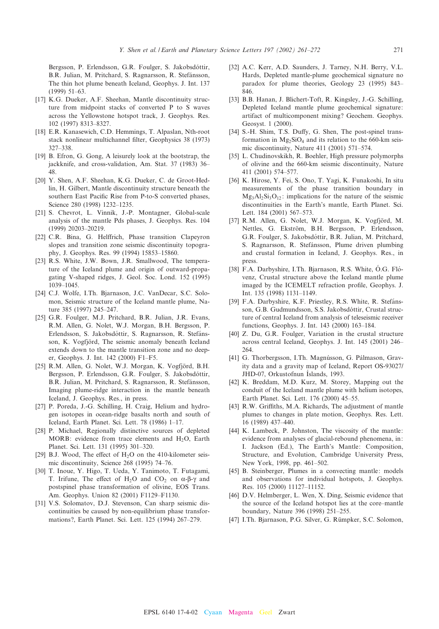Bergsson, P. Erlendsson, G.R. Foulger, S. Jakobsdóttir, B.R. Julian, M. Pritchard, S. Ragnarsson, R. Stefánsson, The thin hot plume beneath Iceland, Geophys. J. Int. 137  $(1999)$  51-63.

- [17] K.G. Dueker, A.F. Sheehan, Mantle discontinuity structure from midpoint stacks of converted P to S waves across the Yellowstone hotspot track, J. Geophys. Res. 102 (1997) 8313^8327.
- [18] E.R. Kanasewich, C.D. Hemmings, T. Alpaslan, Nth-root stack nonlinear multichannel filter, Geophysics 38 (1973) 327^338.
- [19] B. Efron, G. Gong, A leisurely look at the bootstrap, the jackknife, and cross-validation, Am. Stat. 37 (1983) 36^ 48.
- [20] Y. Shen, A.F. Sheehan, K.G. Dueker, C. de Groot-Hedlin, H. Gilbert, Mantle discontinuity structure beneath the southern East Pacific Rise from P-to-S converted phases, Science 280 (1998) 1232-1235.
- [21] S. Chevrot, L. Vinnik, J.-P. Montagner, Global-scale analysis of the mantle Pds phases, J. Geophys. Res. 104 (1999) 20203-20219.
- [22] C.R. Bina, G. Helffrich, Phase transition Clapeyron slopes and transition zone seismic discontinuity topography, J. Geophys. Res. 99 (1994) 15853^15860.
- [23] R.S. White, J.W. Bown, J.R. Smallwood, The temperature of the Iceland plume and origin of outward-propagating V-shaped ridges, J. Geol. Soc. Lond. 152 (1995) 1039^1045.
- [24] C.J. Wolfe, I.Th. Bjarnason, J.C. VanDecar, S.C. Solomon, Seismic structure of the Iceland mantle plume, Nature 385 (1997) 245-247.
- [25] G.R. Foulger, M.J. Pritchard, B.R. Julian, J.R. Evans, R.M. Allen, G. Nolet, W.J. Morgan, B.H. Bergsson, P. Erlendsson, S. Jakobsdóttir, S. Ragnarsson, R. Stefánsson, K. Vogfjörd, The seismic anomaly beneath Iceland extends down to the mantle transition zone and no deeper, Geophys. J. Int. 142 (2000) F1^F5.
- [25] R.M. Allen, G. Nolet, W.J. Morgan, K. Vogfjörd, B.H. Bergsson, P. Erlendsson, G.R. Foulger, S. Jakobsdóttir, B.R. Julian, M. Pritchard, S. Ragnarsson, R. Stefánsson, Imaging plume-ridge interaction in the mantle beneath Iceland, J. Geophys. Res., in press.
- [27] P. Poreda, J.-G. Schilling, H. Craig, Helium and hydrogen isotopes in ocean-ridge basalts north and south of Iceland, Earth Planet. Sci. Lett. 78 (1986) 1^17.
- [28] P. Michael, Regionally distinctive sources of depleted MORB: evidence from trace elements and  $H_2O$ , Earth Planet. Sci. Lett. 131 (1995) 301^320.
- [29] B.J. Wood, The effect of  $H_2O$  on the 410-kilometer seismic discontinuity, Science 268 (1995) 74-76.
- [30] T. Inoue, Y. Higo, T. Ueda, Y. Tanimoto, T. Futagami, T. Irifune, The effect of  $H_2O$  and  $CO_2$  on  $\alpha$ - $\beta$ - $\gamma$  and postspinel phase transformation of olivine, EOS Trans. Am. Geophys. Union 82 (2001) F1129-F1130.
- [31] V.S. Solomatov, D.J. Stevenson, Can sharp seismic discontinuities be caused by non-equilibrium phase transformations?, Earth Planet. Sci. Lett. 125 (1994) 267^279.
- [32] A.C. Kerr, A.D. Saunders, J. Tarney, N.H. Berry, V.L. Hards, Depleted mantle-plume geochemical signature no paradox for plume theories, Geology 23 (1995) 843^ 846.
- [33] B.B. Hanan, J. Blichert-Toft, R. Kingsley, J.-G. Schilling, Depleted Iceland mantle plume geochemical signature: artifact of multicomponent mixing? Geochem. Geophys. Geosyst. 1 (2000).
- [34] S.-H. Shim, T.S. Duffy, G. Shen, The post-spinel transformation in  $Mg_2SiO_4$  and its relation to the 660-km seismic discontinuity, Nature 411 (2001) 571^574.
- [35] L. Chudinovskikh, R. Boehler, High pressure polymorphs of olivine and the 660-km seismic discontinuity, Nature 411 (2001) 574^577.
- [36] K. Hirose, Y. Fei, S. Ono, T. Yagi, K. Funakoshi, In situ measurements of the phase transition boundary in  $Mg_3Al_2Si_3O_{12}$ : implications for the nature of the seismic discontinuities in the Earth's mantle, Earth Planet. Sci. Lett. 184 (2001) 567-573.
- [37] R.M. Allen, G. Nolet, W.J. Morgan, K. Vogfjörd, M. Nettles, G. Ekström, B.H. Bergsson, P. Erlendsson, G.R. Foulger, S. Jakobsdóttir, B.R. Julian, M. Pritchard, S. Ragnarsson, R. Stefánsson, Plume driven plumbing and crustal formation in Iceland, J. Geophys. Res., in press.
- [38] F.A. Darbyshire, I.Th. Bjarnason, R.S. White, O.G. Flóvenz, Crustal structure above the Iceland mantle plume imaged by the ICEMELT refraction profile, Geophys. J. Int. 135 (1998) 1131^1149.
- [39] F.A. Darbyshire, K.F. Priestley, R.S. White, R. Stefánsson, G.B. Gudmundsson, S.S. Jakobsdóttir, Crustal structure of central Iceland from analysis of teleseismic receiver functions, Geophys. J. Int. 143 (2000) 163^184.
- [40] Z. Du, G.R. Foulger, Variation in the crustal structure across central Iceland, Geophys. J. Int. 145 (2001) 246^ 264.
- [41] G. Thorbergsson, I.Th. Magnússon, G. Pálmason, Gravity data and a gravity map of Iceland, Report OS-93027/ JHD-07, Orkustofnun Islands, 1993.
- [42] K. Breddam, M.D. Kurz, M. Storey, Mapping out the conduit of the Iceland mantle plume with helium isotopes, Earth Planet. Sci. Lett. 176 (2000) 45^55.
- [43] R.W. Griffiths, M.A. Richards, The adjustment of mantle plumes to changes in plate motion, Geophys. Res. Lett. 16 (1989) 437^440.
- [44] K. Lambeck, P. Johnston, The viscosity of the mantle: evidence from analyses of glacial-rebound phenomena, in: I. Jackson (Ed.), The Earth's Mantle: Composition, Structure, and Evolution, Cambridge University Press, New York, 1998, pp. 461-502.
- [45] B. Steinberger, Plumes in a convecting mantle: models and observations for individual hotspots, J. Geophys. Res. 105 (2000) 11127^11152.
- [46] D.V. Helmberger, L. Wen, X. Ding, Seismic evidence that the source of the Iceland hotspot lies at the core-mantle boundary, Nature 396 (1998) 251^255.
- [47] I.Th. Bjarnason, P.G. Silver, G. Rümpker, S.C. Solomon,